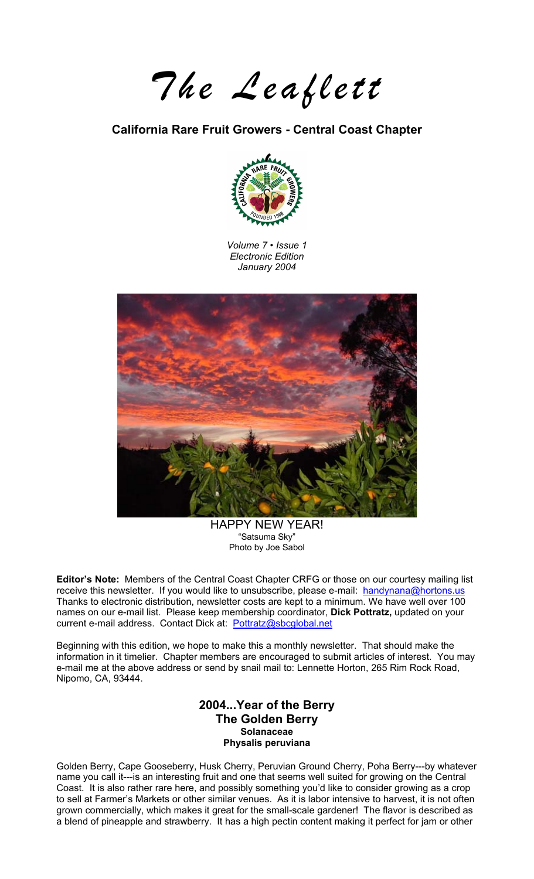*The Leaflett* 

### **California Rare Fruit Growers - Central Coast Chapter**



*Volume 7 • Issue 1 Electronic Edition January 2004* 



HAPPY NEW YEAR!<br>"Satsuma Sky" Photo by Joe Sabol

**Editor's Note:** Members of the Central Coast Chapter CRFG or those on our courtesy mailing list receive this newsletter. If you would like to unsubscribe, please e-mail: [handynana@hortons.us](mailto:handynana@hortons.us) Thanks to electronic distribution, newsletter costs are kept to a minimum. We have well over 100 names on our e-mail list. Please keep membership coordinator, **Dick Pottratz,** updated on your current e-mail address. Contact Dick at: [Pottratz@sbcglobal.net](mailto:Pottratz@sbcglobal.net)

Beginning with this edition, we hope to make this a monthly newsletter. That should make the information in it timelier. Chapter members are encouraged to submit articles of interest. You may e-mail me at the above address or send by snail mail to: Lennette Horton, 265 Rim Rock Road, Nipomo, CA, 93444.

### **2004...Year of the Berry The Golden Berry Solanaceae Physalis peruviana**

Golden Berry, Cape Gooseberry, Husk Cherry, Peruvian Ground Cherry, Poha Berry---by whatever name you call it---is an interesting fruit and one that seems well suited for growing on the Central Coast. It is also rather rare here, and possibly something you'd like to consider growing as a crop to sell at Farmer's Markets or other similar venues. As it is labor intensive to harvest, it is not often grown commercially, which makes it great for the small-scale gardener! The flavor is described as a blend of pineapple and strawberry. It has a high pectin content making it perfect for jam or other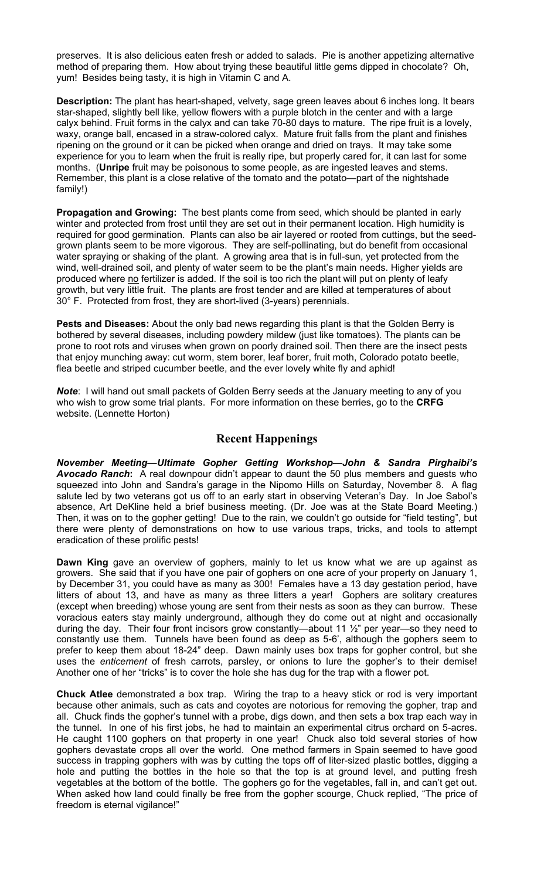preserves. It is also delicious eaten fresh or added to salads. Pie is another appetizing alternative method of preparing them. How about trying these beautiful little gems dipped in chocolate? Oh, yum! Besides being tasty, it is high in Vitamin C and A.

**Description:** The plant has heart-shaped, velvety, sage green leaves about 6 inches long. It bears star-shaped, slightly bell like, yellow flowers with a purple blotch in the center and with a large calyx behind. Fruit forms in the calyx and can take 70-80 days to mature. The ripe fruit is a lovely, waxy, orange ball, encased in a straw-colored calyx. Mature fruit falls from the plant and finishes ripening on the ground or it can be picked when orange and dried on trays. It may take some experience for you to learn when the fruit is really ripe, but properly cared for, it can last for some months. (**Unripe** fruit may be poisonous to some people, as are ingested leaves and stems. Remember, this plant is a close relative of the tomato and the potato—part of the nightshade family!)

**Propagation and Growing:** The best plants come from seed, which should be planted in early winter and protected from frost until they are set out in their permanent location. High humidity is required for good germination. Plants can also be air layered or rooted from cuttings, but the seedgrown plants seem to be more vigorous. They are self-pollinating, but do benefit from occasional water spraying or shaking of the plant. A growing area that is in full-sun, yet protected from the wind, well-drained soil, and plenty of water seem to be the plant's main needs. Higher yields are produced where no fertilizer is added. If the soil is too rich the plant will put on plenty of leafy growth, but very little fruit. The plants are frost tender and are killed at temperatures of about 30° F. Protected from frost, they are short-lived (3-years) perennials.

**Pests and Diseases:** About the only bad news regarding this plant is that the Golden Berry is bothered by several diseases, including powdery mildew (just like tomatoes). The plants can be prone to root rots and viruses when grown on poorly drained soil. Then there are the insect pests that enjoy munching away: cut worm, stem borer, leaf borer, fruit moth, Colorado potato beetle, flea beetle and striped cucumber beetle, and the ever lovely white fly and aphid!

*Note*: I will hand out small packets of Golden Berry seeds at the January meeting to any of you who wish to grow some trial plants. For more information on these berries, go to the **CRFG** website. (Lennette Horton)

### **Recent Happenings**

*November Meeting—Ultimate Gopher Getting Workshop—John & Sandra Pirghaibi's Avocado Ranch***:** A real downpour didn't appear to daunt the 50 plus members and guests who squeezed into John and Sandra's garage in the Nipomo Hills on Saturday, November 8. A flag salute led by two veterans got us off to an early start in observing Veteran's Day. In Joe Sabol's absence, Art DeKline held a brief business meeting. (Dr. Joe was at the State Board Meeting.) Then, it was on to the gopher getting! Due to the rain, we couldn't go outside for "field testing", but there were plenty of demonstrations on how to use various traps, tricks, and tools to attempt eradication of these prolific pests!

**Dawn King** gave an overview of gophers, mainly to let us know what we are up against as growers. She said that if you have one pair of gophers on one acre of your property on January 1, by December 31, you could have as many as 300! Females have a 13 day gestation period, have litters of about 13, and have as many as three litters a year! Gophers are solitary creatures (except when breeding) whose young are sent from their nests as soon as they can burrow. These voracious eaters stay mainly underground, although they do come out at night and occasionally during the day. Their four front incisors grow constantly—about 11 ½" per year—so they need to constantly use them. Tunnels have been found as deep as 5-6', although the gophers seem to prefer to keep them about 18-24" deep. Dawn mainly uses box traps for gopher control, but she uses the *enticement* of fresh carrots, parsley, or onions to lure the gopher's to their demise! Another one of her "tricks" is to cover the hole she has dug for the trap with a flower pot.

**Chuck Atlee** demonstrated a box trap. Wiring the trap to a heavy stick or rod is very important because other animals, such as cats and coyotes are notorious for removing the gopher, trap and all. Chuck finds the gopher's tunnel with a probe, digs down, and then sets a box trap each way in the tunnel. In one of his first jobs, he had to maintain an experimental citrus orchard on 5-acres. He caught 1100 gophers on that property in one year! Chuck also told several stories of how gophers devastate crops all over the world. One method farmers in Spain seemed to have good success in trapping gophers with was by cutting the tops off of liter-sized plastic bottles, digging a hole and putting the bottles in the hole so that the top is at ground level, and putting fresh vegetables at the bottom of the bottle. The gophers go for the vegetables, fall in, and can't get out. When asked how land could finally be free from the gopher scourge, Chuck replied, "The price of freedom is eternal vigilance!"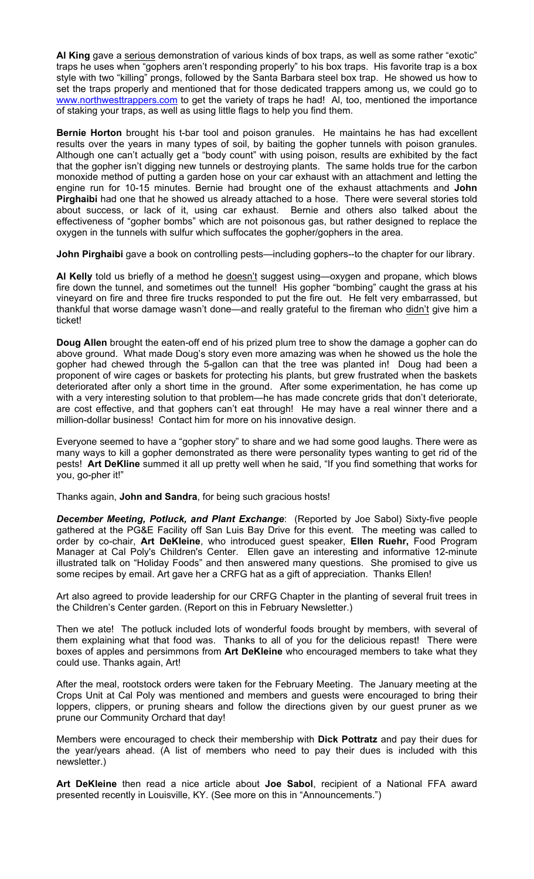**Al King** gave a serious demonstration of various kinds of box traps, as well as some rather "exotic" traps he uses when "gophers aren't responding properly" to his box traps. His favorite trap is a box style with two "killing" prongs, followed by the Santa Barbara steel box trap. He showed us how to set the traps properly and mentioned that for those dedicated trappers among us, we could go to [www.northwesttrappers.com](http://www.northwesttrappers.com/) to get the variety of traps he had! Al, too, mentioned the importance of staking your traps, as well as using little flags to help you find them.

**Bernie Horton** brought his t-bar tool and poison granules. He maintains he has had excellent results over the years in many types of soil, by baiting the gopher tunnels with poison granules. Although one can't actually get a "body count" with using poison, results are exhibited by the fact that the gopher isn't digging new tunnels or destroying plants. The same holds true for the carbon monoxide method of putting a garden hose on your car exhaust with an attachment and letting the engine run for 10-15 minutes. Bernie had brought one of the exhaust attachments and **John Pirghaibi** had one that he showed us already attached to a hose. There were several stories told about success, or lack of it, using car exhaust. Bernie and others also talked about the effectiveness of "gopher bombs" which are not poisonous gas, but rather designed to replace the oxygen in the tunnels with sulfur which suffocates the gopher/gophers in the area.

**John Pirghaibi** gave a book on controlling pests—including gophers--to the chapter for our library.

Al Kelly told us briefly of a method he **doesn't** suggest using—oxygen and propane, which blows fire down the tunnel, and sometimes out the tunnel! His gopher "bombing" caught the grass at his vineyard on fire and three fire trucks responded to put the fire out. He felt very embarrassed, but thankful that worse damage wasn't done—and really grateful to the fireman who didn't give him a ticket!

**Doug Allen** brought the eaten-off end of his prized plum tree to show the damage a gopher can do above ground. What made Doug's story even more amazing was when he showed us the hole the gopher had chewed through the 5-gallon can that the tree was planted in! Doug had been a proponent of wire cages or baskets for protecting his plants, but grew frustrated when the baskets deteriorated after only a short time in the ground. After some experimentation, he has come up with a very interesting solution to that problem—he has made concrete grids that don't deteriorate, are cost effective, and that gophers can't eat through! He may have a real winner there and a million-dollar business! Contact him for more on his innovative design.

Everyone seemed to have a "gopher story" to share and we had some good laughs. There were as many ways to kill a gopher demonstrated as there were personality types wanting to get rid of the pests! **Art DeKline** summed it all up pretty well when he said, "If you find something that works for you, go-pher it!"

Thanks again, **John and Sandra**, for being such gracious hosts!

*December Meeting, Potluck, and Plant Exchange*: (Reported by Joe Sabol) Sixty-five people gathered at the PG&E Facility off San Luis Bay Drive for this event. The meeting was called to order by co-chair, **Art DeKleine**, who introduced guest speaker, **Ellen Ruehr,** Food Program Manager at Cal Poly's Children's Center. Ellen gave an interesting and informative 12-minute illustrated talk on "Holiday Foods" and then answered many questions. She promised to give us some recipes by email. Art gave her a CRFG hat as a gift of appreciation. Thanks Ellen!

Art also agreed to provide leadership for our CRFG Chapter in the planting of several fruit trees in the Children's Center garden. (Report on this in February Newsletter.)

Then we ate! The potluck included lots of wonderful foods brought by members, with several of them explaining what that food was. Thanks to all of you for the delicious repast! There were boxes of apples and persimmons from **Art DeKleine** who encouraged members to take what they could use. Thanks again, Art!

After the meal, rootstock orders were taken for the February Meeting. The January meeting at the Crops Unit at Cal Poly was mentioned and members and guests were encouraged to bring their loppers, clippers, or pruning shears and follow the directions given by our guest pruner as we prune our Community Orchard that day!

Members were encouraged to check their membership with **Dick Pottratz** and pay their dues for the year/years ahead. (A list of members who need to pay their dues is included with this newsletter.)

**Art DeKleine** then read a nice article about **Joe Sabol**, recipient of a National FFA award presented recently in Louisville, KY. (See more on this in "Announcements.")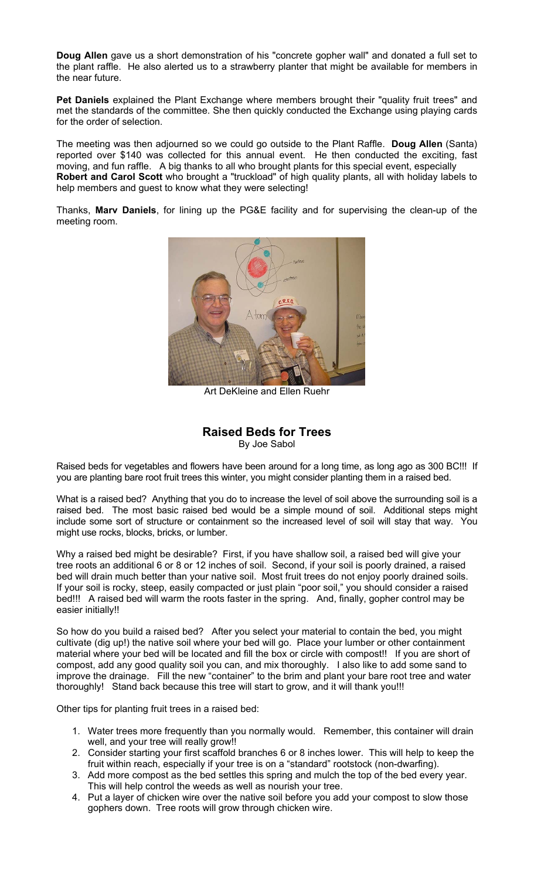**Doug Allen** gave us a short demonstration of his "concrete gopher wall" and donated a full set to the plant raffle. He also alerted us to a strawberry planter that might be available for members in the near future.

**Pet Daniels** explained the Plant Exchange where members brought their "quality fruit trees" and met the standards of the committee. She then quickly conducted the Exchange using playing cards for the order of selection.

The meeting was then adjourned so we could go outside to the Plant Raffle. **Doug Allen** (Santa) reported over \$140 was collected for this annual event. He then conducted the exciting, fast moving, and fun raffle. A big thanks to all who brought plants for this special event, especially **Robert and Carol Scott** who brought a "truckload" of high quality plants, all with holiday labels to help members and guest to know what they were selecting!

Thanks, **Marv Daniels**, for lining up the PG&E facility and for supervising the clean-up of the meeting room.



Art DeKleine and Ellen Ruehr

### **Raised Beds for Trees**  By Joe Sabol

Raised beds for vegetables and flowers have been around for a long time, as long ago as 300 BC!!! If you are planting bare root fruit trees this winter, you might consider planting them in a raised bed.

What is a raised bed? Anything that you do to increase the level of soil above the surrounding soil is a raised bed. The most basic raised bed would be a simple mound of soil. Additional steps might include some sort of structure or containment so the increased level of soil will stay that way. You might use rocks, blocks, bricks, or lumber.

Why a raised bed might be desirable? First, if you have shallow soil, a raised bed will give your tree roots an additional 6 or 8 or 12 inches of soil. Second, if your soil is poorly drained, a raised bed will drain much better than your native soil. Most fruit trees do not enjoy poorly drained soils. If your soil is rocky, steep, easily compacted or just plain "poor soil," you should consider a raised bed!!! A raised bed will warm the roots faster in the spring. And, finally, gopher control may be easier initially!!

So how do you build a raised bed? After you select your material to contain the bed, you might cultivate (dig up!) the native soil where your bed will go. Place your lumber or other containment material where your bed will be located and fill the box or circle with compost!! If you are short of compost, add any good quality soil you can, and mix thoroughly. I also like to add some sand to improve the drainage. Fill the new "container" to the brim and plant your bare root tree and water thoroughly! Stand back because this tree will start to grow, and it will thank you!!!

Other tips for planting fruit trees in a raised bed:

- 1. Water trees more frequently than you normally would. Remember, this container will drain well, and your tree will really grow!!
- 2. Consider starting your first scaffold branches 6 or 8 inches lower. This will help to keep the fruit within reach, especially if your tree is on a "standard" rootstock (non-dwarfing).
- 3. Add more compost as the bed settles this spring and mulch the top of the bed every year. This will help control the weeds as well as nourish your tree.
- 4. Put a layer of chicken wire over the native soil before you add your compost to slow those gophers down. Tree roots will grow through chicken wire.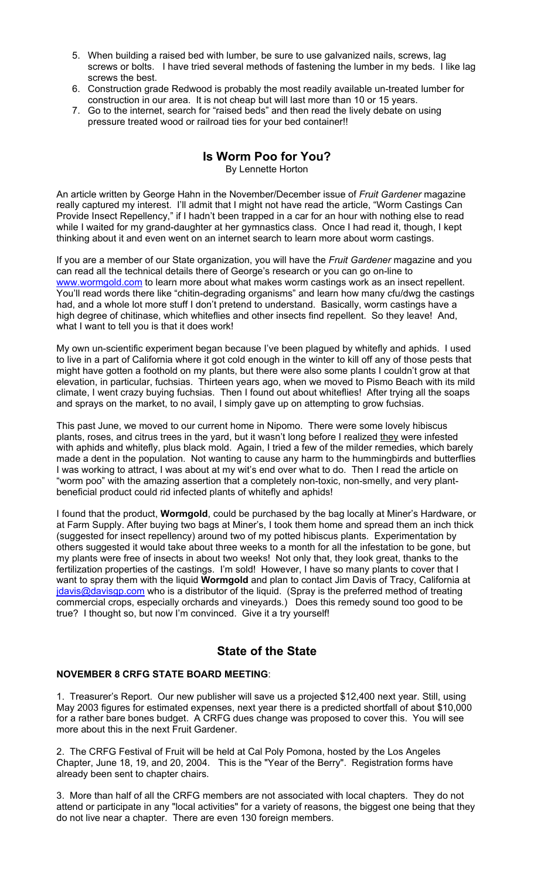- 5. When building a raised bed with lumber, be sure to use galvanized nails, screws, lag screws or bolts. I have tried several methods of fastening the lumber in my beds. I like lag screws the best.
- 6. Construction grade Redwood is probably the most readily available un-treated lumber for construction in our area. It is not cheap but will last more than 10 or 15 years.
- 7. Go to the internet, search for "raised beds" and then read the lively debate on using pressure treated wood or railroad ties for your bed container!!

# **Is Worm Poo for You?**

By Lennette Horton

An article written by George Hahn in the November/December issue of *Fruit Gardener* magazine really captured my interest. I'll admit that I might not have read the article, "Worm Castings Can Provide Insect Repellency," if I hadn't been trapped in a car for an hour with nothing else to read while I waited for my grand-daughter at her gymnastics class. Once I had read it, though, I kept thinking about it and even went on an internet search to learn more about worm castings.

If you are a member of our State organization, you will have the *Fruit Gardener* magazine and you can read all the technical details there of George's research or you can go on-line to [www.wormgold.com](http://www.wormgold.com/) to learn more about what makes worm castings work as an insect repellent. You'll read words there like "chitin-degrading organisms" and learn how many cfu/dwg the castings had, and a whole lot more stuff I don't pretend to understand. Basically, worm castings have a high degree of chitinase, which whiteflies and other insects find repellent. So they leave! And, what I want to tell you is that it does work!

My own un-scientific experiment began because I've been plagued by whitefly and aphids. I used to live in a part of California where it got cold enough in the winter to kill off any of those pests that might have gotten a foothold on my plants, but there were also some plants I couldn't grow at that elevation, in particular, fuchsias. Thirteen years ago, when we moved to Pismo Beach with its mild climate, I went crazy buying fuchsias. Then I found out about whiteflies! After trying all the soaps and sprays on the market, to no avail, I simply gave up on attempting to grow fuchsias.

This past June, we moved to our current home in Nipomo. There were some lovely hibiscus plants, roses, and citrus trees in the yard, but it wasn't long before I realized they were infested with aphids and whitefly, plus black mold. Again, I tried a few of the milder remedies, which barely made a dent in the population. Not wanting to cause any harm to the hummingbirds and butterflies I was working to attract, I was about at my wit's end over what to do. Then I read the article on "worm poo" with the amazing assertion that a completely non-toxic, non-smelly, and very plantbeneficial product could rid infected plants of whitefly and aphids!

I found that the product, **Wormgold**, could be purchased by the bag locally at Miner's Hardware, or at Farm Supply. After buying two bags at Miner's, I took them home and spread them an inch thick (suggested for insect repellency) around two of my potted hibiscus plants. Experimentation by others suggested it would take about three weeks to a month for all the infestation to be gone, but my plants were free of insects in about two weeks! Not only that, they look great, thanks to the fertilization properties of the castings. I'm sold! However, I have so many plants to cover that I want to spray them with the liquid **Wormgold** and plan to contact Jim Davis of Tracy, California at [jdavis@davisgp.com](mailto:jdavis@davisgp.com) who is a distributor of the liquid. (Spray is the preferred method of treating commercial crops, especially orchards and vineyards.) Does this remedy sound too good to be true? I thought so, but now I'm convinced. Give it a try yourself!

# **State of the State**

#### **NOVEMBER 8 CRFG STATE BOARD MEETING**:

1. Treasurer's Report. Our new publisher will save us a projected \$12,400 next year. Still, using May 2003 figures for estimated expenses, next year there is a predicted shortfall of about \$10,000 for a rather bare bones budget. A CRFG dues change was proposed to cover this. You will see more about this in the next Fruit Gardener.

2. The CRFG Festival of Fruit will be held at Cal Poly Pomona, hosted by the Los Angeles Chapter, June 18, 19, and 20, 2004. This is the "Year of the Berry". Registration forms have already been sent to chapter chairs.

3. More than half of all the CRFG members are not associated with local chapters. They do not attend or participate in any "local activities" for a variety of reasons, the biggest one being that they do not live near a chapter. There are even 130 foreign members.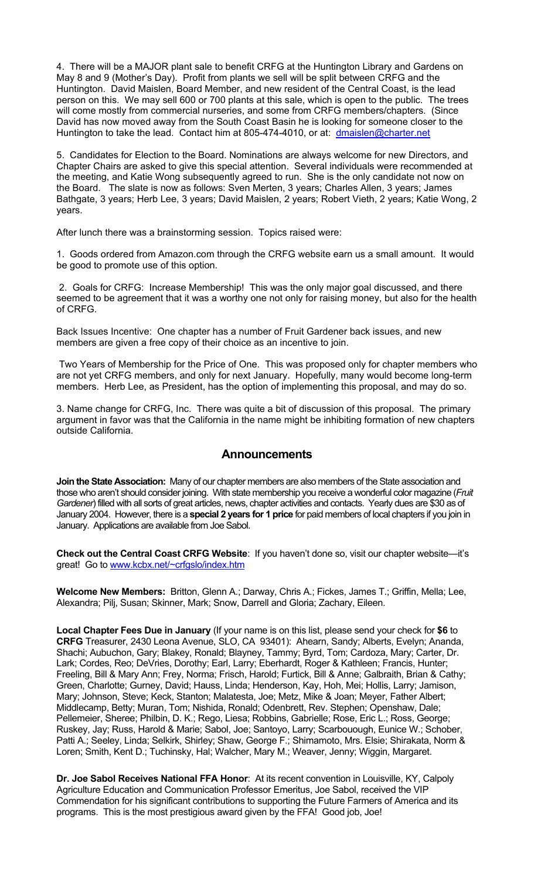4. There will be a MAJOR plant sale to benefit CRFG at the Huntington Library and Gardens on May 8 and 9 (Mother's Day). Profit from plants we sell will be split between CRFG and the Huntington. David Maislen, Board Member, and new resident of the Central Coast, is the lead person on this. We may sell 600 or 700 plants at this sale, which is open to the public. The trees will come mostly from commercial nurseries, and some from CRFG members/chapters. (Since David has now moved away from the South Coast Basin he is looking for someone closer to the Huntington to take the lead. Contact him at 805-474-4010, or at: [dmaislen@charter.net](mailto:dmaislen@charter.net)

5. Candidates for Election to the Board. Nominations are always welcome for new Directors, and Chapter Chairs are asked to give this special attention. Several individuals were recommended at the meeting, and Katie Wong subsequently agreed to run. She is the only candidate not now on the Board. The slate is now as follows: Sven Merten, 3 years; Charles Allen, 3 years; James Bathgate, 3 years; Herb Lee, 3 years; David Maislen, 2 years; Robert Vieth, 2 years; Katie Wong, 2 years.

After lunch there was a brainstorming session. Topics raised were:

1. Goods ordered from Amazon.com through the CRFG website earn us a small amount. It would be good to promote use of this option.

 2. Goals for CRFG: Increase Membership! This was the only major goal discussed, and there seemed to be agreement that it was a worthy one not only for raising money, but also for the health of CRFG.

Back Issues Incentive: One chapter has a number of Fruit Gardener back issues, and new members are given a free copy of their choice as an incentive to join.

 Two Years of Membership for the Price of One. This was proposed only for chapter members who are not yet CRFG members, and only for next January. Hopefully, many would become long-term members. Herb Lee, as President, has the option of implementing this proposal, and may do so.

3. Name change for CRFG, Inc. There was quite a bit of discussion of this proposal. The primary argument in favor was that the California in the name might be inhibiting formation of new chapters outside California.

### **Announcements**

**Join the State Association:** Many of our chapter members are also members of the State association and those who aren't should consider joining. With state membership you receive a wonderful color magazine (*Fruit Gardener*) filled with all sorts of great articles, news, chapter activities and contacts. Yearly dues are \$30 as of January 2004. However, there is a **special 2 years for 1 price** for paid members of local chapters if you join in January. Applications are available from Joe Sabol.

**Check out the Central Coast CRFG Website**: If you haven't done so, visit our chapter website—it's great! Go to [www.kcbx.net/~crfgslo/index.htm](http://www.kcbx.net/~crfgslo/index.htm)

**Welcome New Members:** Britton, Glenn A.; Darway, Chris A.; Fickes, James T.; Griffin, Mella; Lee, Alexandra; Pilj, Susan; Skinner, Mark; Snow, Darrell and Gloria; Zachary, Eileen.

**Local Chapter Fees Due in January** (If your name is on this list, please send your check for **\$6** to **CRFG** Treasurer, 2430 Leona Avenue, SLO, CA 93401): Ahearn, Sandy; Alberts, Evelyn; Ananda, Shachi; Aubuchon, Gary; Blakey, Ronald; Blayney, Tammy; Byrd, Tom; Cardoza, Mary; Carter, Dr. Lark; Cordes, Reo; DeVries, Dorothy; Earl, Larry; Eberhardt, Roger & Kathleen; Francis, Hunter; Freeling, Bill & Mary Ann; Frey, Norma; Frisch, Harold; Furtick, Bill & Anne; Galbraith, Brian & Cathy; Green, Charlotte; Gurney, David; Hauss, Linda; Henderson, Kay, Hoh, Mei; Hollis, Larry; Jamison, Mary; Johnson, Steve; Keck, Stanton; Malatesta, Joe; Metz, Mike & Joan; Meyer, Father Albert; Middlecamp, Betty; Muran, Tom; Nishida, Ronald; Odenbrett, Rev. Stephen; Openshaw, Dale; Pellemeier, Sheree; Philbin, D. K.; Rego, Liesa; Robbins, Gabrielle; Rose, Eric L.; Ross, George; Ruskey, Jay; Russ, Harold & Marie; Sabol, Joe; Santoyo, Larry; Scarbouough, Eunice W.; Schober, Patti A.; Seeley, Linda; Selkirk, Shirley; Shaw, George F.; Shimamoto, Mrs. Elsie; Shirakata, Norm & Loren; Smith, Kent D.; Tuchinsky, Hal; Walcher, Mary M.; Weaver, Jenny; Wiggin, Margaret.

**Dr. Joe Sabol Receives National FFA Honor**: At its recent convention in Louisville, KY, Calpoly Agriculture Education and Communication Professor Emeritus, Joe Sabol, received the VIP Commendation for his significant contributions to supporting the Future Farmers of America and its programs. This is the most prestigious award given by the FFA! Good job, Joe!